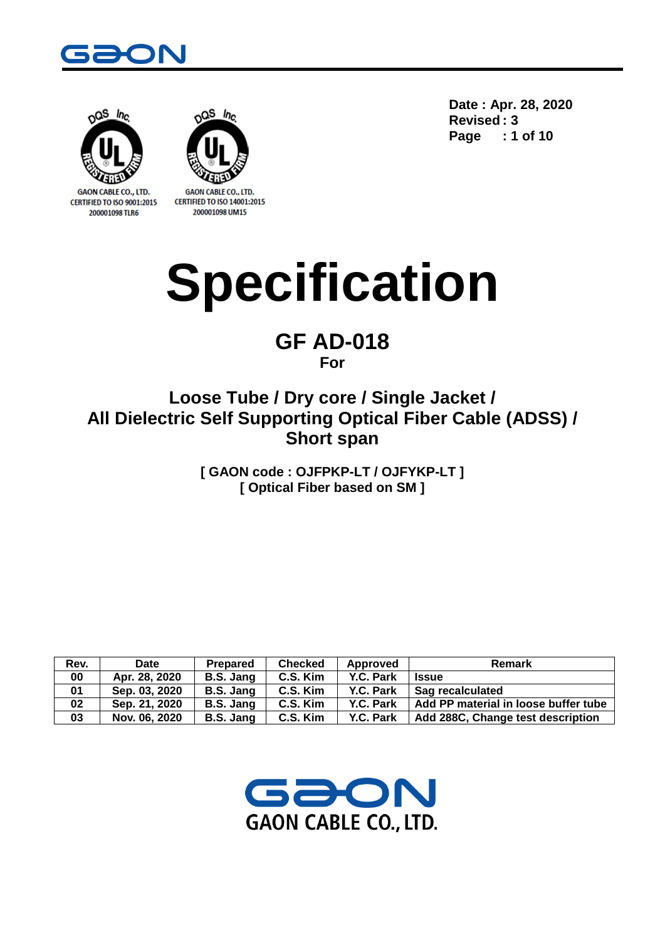



**GAON CABLE CO., LTD.** CERTIFIED TO ISO 9001:2015 200001098 TLR6



**CERTIFIED TO ISO 14001:2015** 200001098 UM15

**Date : Apr. 28, 2020 Revised : 3 Page : 1 of 10**

# **Specification**

## **GF AD-018 For**

## **Loose Tube / Dry core / Single Jacket / All Dielectric Self Supporting Optical Fiber Cable (ADSS) / Short span**

**[ GAON code : OJFPKP-LT / OJFYKP-LT ] [ Optical Fiber based on SM ]**

| Rev. | Date          | Prepared  | <b>Checked</b> | Approved  | Remark                                   |
|------|---------------|-----------|----------------|-----------|------------------------------------------|
| 00   | Apr. 28, 2020 | B.S. Jang | C.S. Kim       | Y.C. Park | <b>Issue</b>                             |
| 01   | Sep. 03, 2020 | B.S. Jang | C.S. Kim       | Y.C. Park | Sag recalculated                         |
| 02   | Sep. 21, 2020 | B.S. Jang | C.S. Kim       | Y.C. Park | Add PP material in loose buffer tube     |
| 03   | Nov. 06, 2020 | B.S. Jang | C.S. Kim       | Y.C. Park | <b>Add 288C, Change test description</b> |

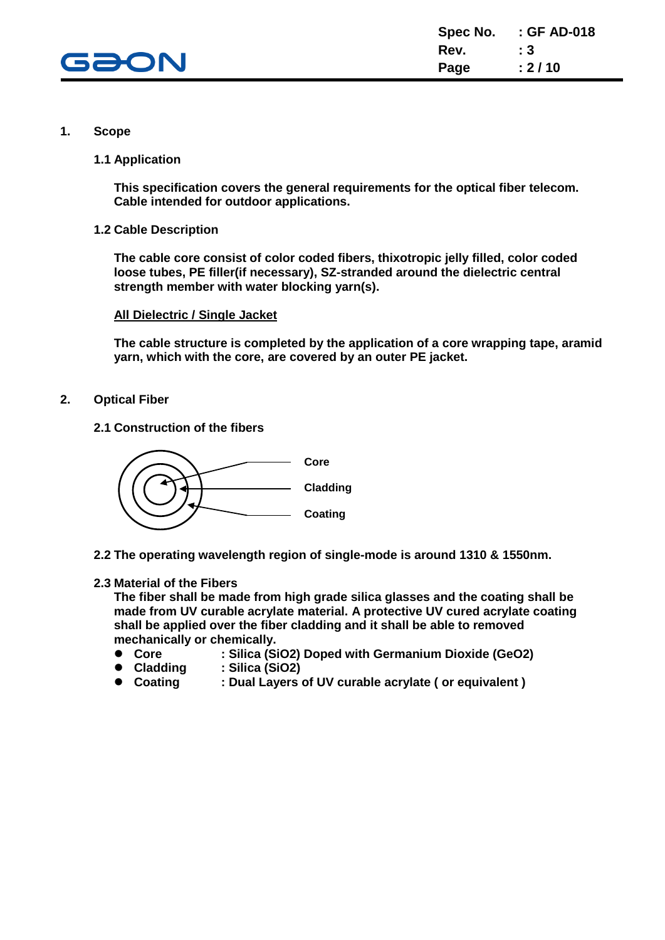

#### **1. Scope**

**1.1 Application**

**This specification covers the general requirements for the optical fiber telecom. Cable intended for outdoor applications.**

**1.2 Cable Description**

**The cable core consist of color coded fibers, thixotropic jelly filled, color coded loose tubes, PE filler(if necessary), SZ-stranded around the dielectric central strength member with water blocking yarn(s).**

#### **All Dielectric / Single Jacket**

**The cable structure is completed by the application of a core wrapping tape, aramid yarn, which with the core, are covered by an outer PE jacket.**

- **2. Optical Fiber**
	- **2.1 Construction of the fibers**



**2.2 The operating wavelength region of single-mode is around 1310 & 1550nm.**

#### **2.3 Material of the Fibers**

**The fiber shall be made from high grade silica glasses and the coating shall be made from UV curable acrylate material. A protective UV cured acrylate coating shall be applied over the fiber cladding and it shall be able to removed mechanically or chemically.**

- **Core : Silica (SiO2) Doped with Germanium Dioxide (GeO2)**
- **Cladding : Silica (SiO2)**
- **Coating : Dual Layers of UV curable acrylate ( or equivalent )**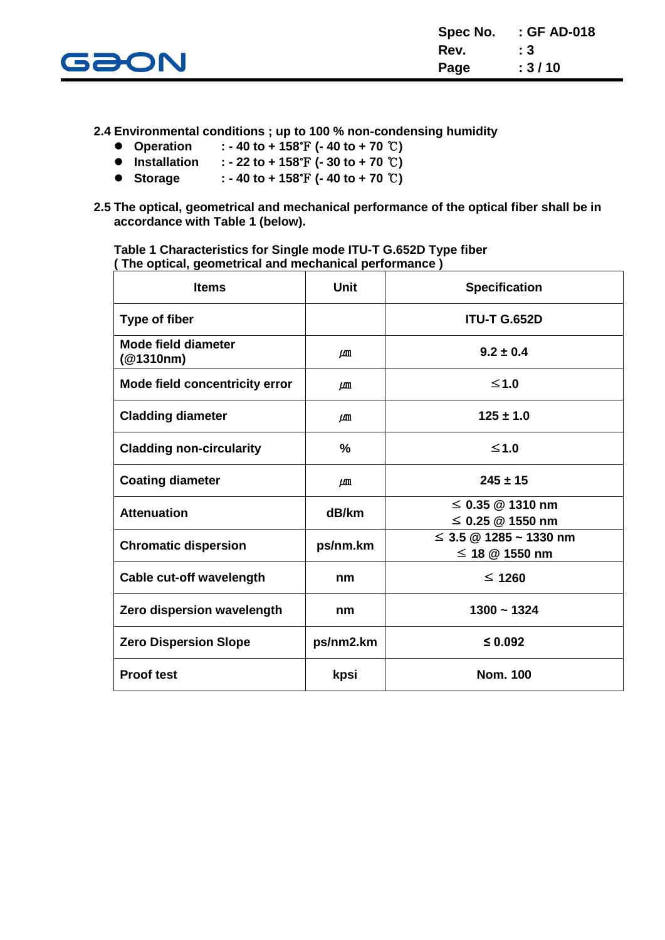

**2.4 Environmental conditions ; up to 100 % non-condensing humidity**

- **Operation : - 40 to + 158**℉ **(- 40 to + 70** ℃**)**
- **Installation : - 22 to + 158**℉ **(- 30 to + 70** ℃**)**
- **Storage : - 40 to + 158**℉ **(- 40 to + 70** ℃**)**
- **2.5 The optical, geometrical and mechanical performance of the optical fiber shall be in accordance with Table 1 (below).**

**Table 1 Characteristics for Single mode ITU-T G.652D Type fiber ( The optical, geometrical and mechanical performance )**

| <b>Items</b>                            | <b>Unit</b>   | <b>Specification</b>                               |
|-----------------------------------------|---------------|----------------------------------------------------|
| <b>Type of fiber</b>                    |               | <b>ITU-T G.652D</b>                                |
| <b>Mode field diameter</b><br>(@1310nm) | LЩ            | $9.2 \pm 0.4$                                      |
| <b>Mode field concentricity error</b>   | LЩ            | $≤1.0$                                             |
| <b>Cladding diameter</b>                | $\mu$ m       | $125 \pm 1.0$                                      |
| <b>Cladding non-circularity</b>         | $\frac{9}{6}$ | $≤1.0$                                             |
| <b>Coating diameter</b>                 | $\mu$ m       | $245 \pm 15$                                       |
| <b>Attenuation</b>                      | dB/km         | $\leq$ 0.35 @ 1310 nm<br>$\leq$ 0.25 @ 1550 nm     |
| <b>Chromatic dispersion</b>             | ps/nm.km      | $\leq$ 3.5 @ 1285 ~ 1330 nm<br>$\leq$ 18 @ 1550 nm |
| Cable cut-off wavelength                | nm            | $\leq 1260$                                        |
| Zero dispersion wavelength              | nm            | $1300 - 1324$                                      |
| <b>Zero Dispersion Slope</b>            | ps/nm2.km     | $\leq 0.092$                                       |
| <b>Proof test</b>                       | kpsi          | <b>Nom. 100</b>                                    |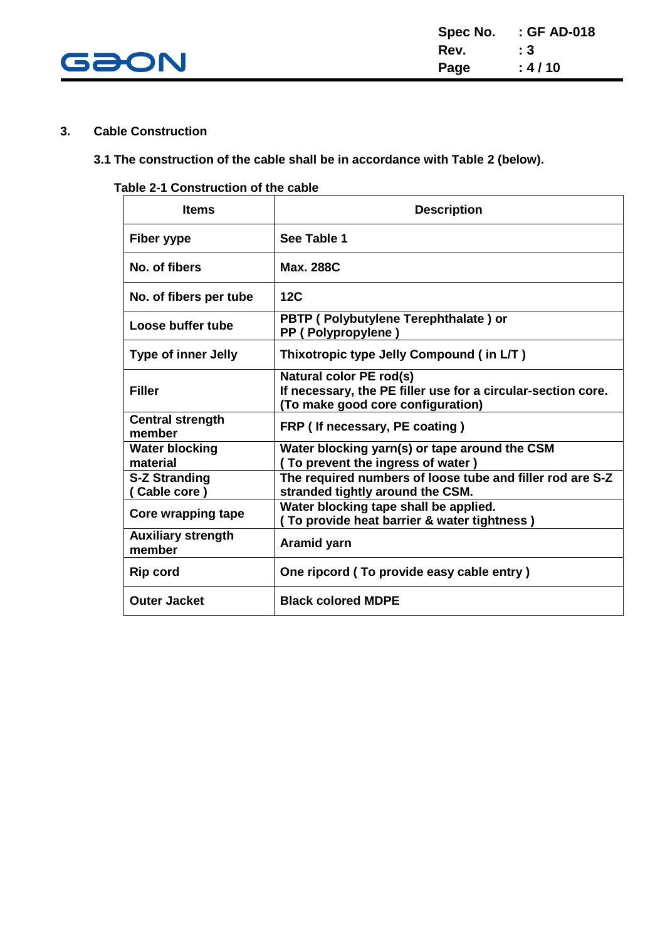

#### **3. Cable Construction**

#### **3.1 The construction of the cable shall be in accordance with Table 2 (below).**

#### **Table 2-1 Construction of the cable**

| <b>Items</b>                         | <b>Description</b>                                                                                                           |
|--------------------------------------|------------------------------------------------------------------------------------------------------------------------------|
| Fiber yype                           | See Table 1                                                                                                                  |
| No. of fibers                        | <b>Max. 288C</b>                                                                                                             |
| No. of fibers per tube               | 12C                                                                                                                          |
| Loose buffer tube                    | PBTP (Polybutylene Terephthalate) or<br>PP (Polypropylene)                                                                   |
| <b>Type of inner Jelly</b>           | Thixotropic type Jelly Compound (in L/T)                                                                                     |
| <b>Filler</b>                        | Natural color PE rod(s)<br>If necessary, the PE filler use for a circular-section core.<br>(To make good core configuration) |
| <b>Central strength</b><br>member    | FRP (If necessary, PE coating)                                                                                               |
| <b>Water blocking</b><br>material    | Water blocking yarn(s) or tape around the CSM<br>(To prevent the ingress of water)                                           |
| <b>S-Z Stranding</b><br>(Cable core) | The required numbers of loose tube and filler rod are S-Z<br>stranded tightly around the CSM.                                |
| Core wrapping tape                   | Water blocking tape shall be applied.<br>To provide heat barrier & water tightness)                                          |
| <b>Auxiliary strength</b><br>member  | Aramid yarn                                                                                                                  |
| <b>Rip cord</b>                      | One ripcord (To provide easy cable entry)                                                                                    |
| <b>Outer Jacket</b>                  | <b>Black colored MDPE</b>                                                                                                    |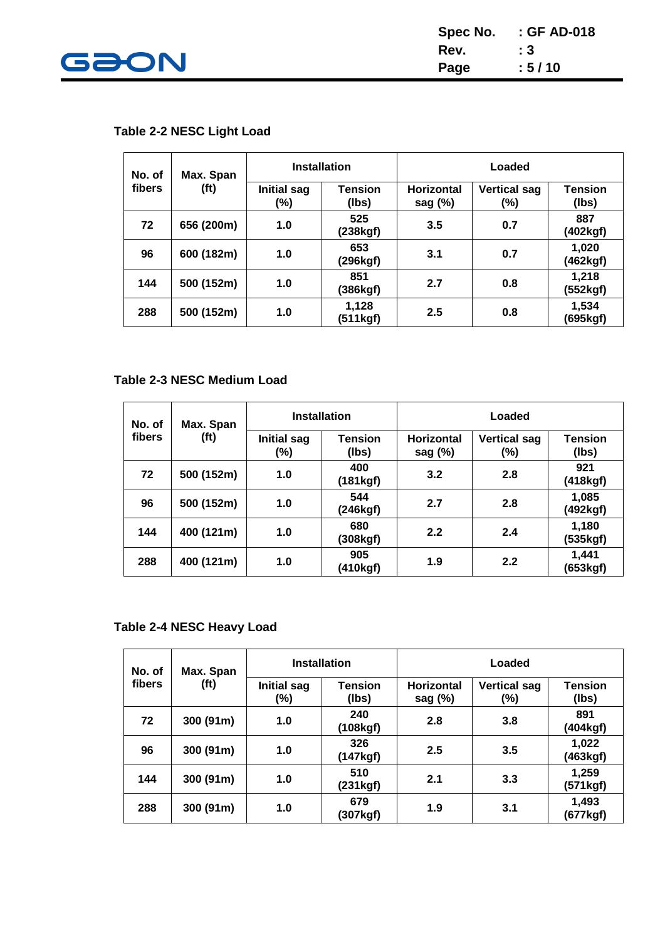

| Spec No. | : GF AD-018 |
|----------|-------------|
| Rev.     | : 3         |
| Page     | : 5/10      |

## **Table 2-2 NESC Light Load**

| No. of | Max. Span         | <b>Installation</b>       |                         | Loaded                          |                            |                         |
|--------|-------------------|---------------------------|-------------------------|---------------------------------|----------------------------|-------------------------|
| fibers | (f <sup>t</sup> ) | <b>Initial sag</b><br>(%) | <b>Tension</b><br>(lbs) | <b>Horizontal</b><br>sag $(\%)$ | <b>Vertical sag</b><br>(%) | <b>Tension</b><br>(lbs) |
| 72     | 656 (200m)        | 1.0                       | 525<br>(238kgf)         | 3.5                             | 0.7                        | 887<br>(402kgf)         |
| 96     | 600 (182m)        | 1.0                       | 653<br>(296kgf)         | 3.1                             | 0.7                        | 1,020<br>(462kgf)       |
| 144    | 500 (152m)        | 1.0                       | 851<br>(386kgf)         | 2.7                             | 0.8                        | 1,218<br>(552kgf)       |
| 288    | 500 (152m)        | 1.0                       | 1,128<br>(511kgf)       | 2.5                             | 0.8                        | 1,534<br>(695kgf)       |

#### **Table 2-3 NESC Medium Load**

| No. of | Max. Span         | <b>Installation</b>       |                         | Loaded                          |                            |                         |
|--------|-------------------|---------------------------|-------------------------|---------------------------------|----------------------------|-------------------------|
| fibers | (f <sup>t</sup> ) | <b>Initial sag</b><br>(%) | <b>Tension</b><br>(lbs) | <b>Horizontal</b><br>sag $(\%)$ | <b>Vertical sag</b><br>(%) | <b>Tension</b><br>(lbs) |
| 72     | 500 (152m)        | 1.0                       | 400<br>(181kgf)         | 3.2                             | 2.8                        | 921<br>(418kgf)         |
| 96     | 500 (152m)        | 1.0                       | 544<br>(246kgf)         | 2.7                             | 2.8                        | 1,085<br>(492kgf)       |
| 144    | 400 (121m)        | 1.0                       | 680<br>(308kgf)         | 2.2                             | 2.4                        | 1,180<br>(535kgf)       |
| 288    | 400 (121m)        | 1.0                       | 905<br>(410kgf)         | 1.9                             | 2.2                        | 1,441<br>(653kgf)       |

#### **Table 2-4 NESC Heavy Load**

| No. of | Max. Span         | <b>Installation</b>       |                         | Loaded                          |                            |                         |
|--------|-------------------|---------------------------|-------------------------|---------------------------------|----------------------------|-------------------------|
| fibers | (f <sup>t</sup> ) | <b>Initial sag</b><br>(%) | <b>Tension</b><br>(lbs) | <b>Horizontal</b><br>sag $(\%)$ | <b>Vertical sag</b><br>(%) | <b>Tension</b><br>(lbs) |
| 72     | 300 (91m)         | 1.0                       | 240<br>(108kgf)         | 2.8                             | 3.8                        | 891<br>(404kgf)         |
| 96     | 300 (91m)         | 1.0                       | 326<br>(147kgf)         | 2.5                             | 3.5                        | 1,022<br>(463kgf)       |
| 144    | 300 (91m)         | 1.0                       | 510<br>(231kgf)         | 2.1                             | 3.3                        | 1,259<br>(571kgf)       |
| 288    | 300 (91m)         | 1.0                       | 679<br>(307kgf)         | 1.9                             | 3.1                        | 1,493<br>(677kgf)       |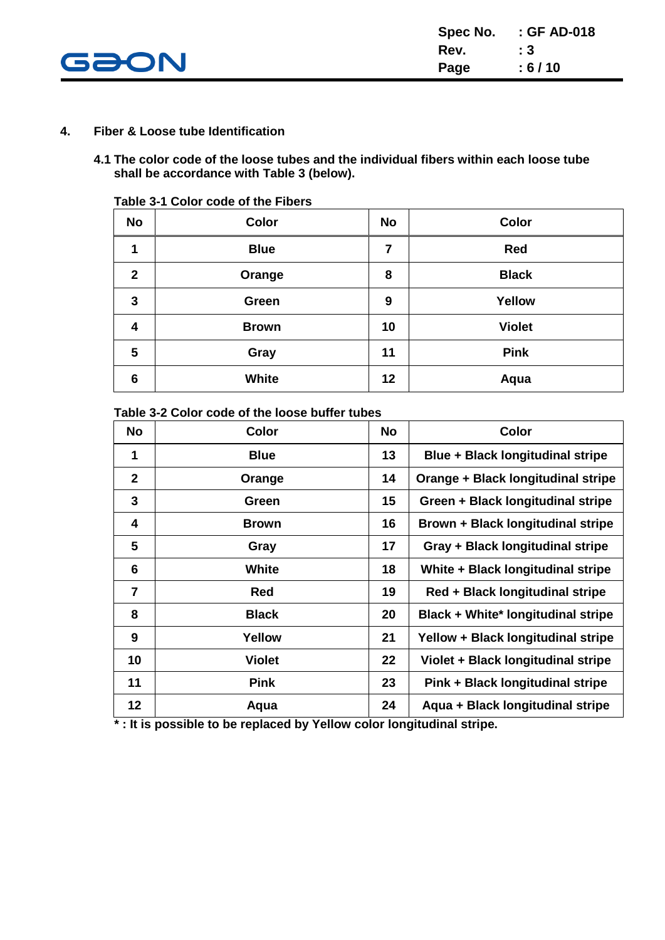

#### **4. Fiber & Loose tube Identification**

**4.1 The color code of the loose tubes and the individual fibers within each loose tube shall be accordance with Table 3 (below).**

| <b>No</b>      | Color        | <b>No</b> | Color         |
|----------------|--------------|-----------|---------------|
| 1              | <b>Blue</b>  | 7         | <b>Red</b>    |
| $\overline{2}$ | Orange       | 8         | <b>Black</b>  |
| 3              | Green        | 9         | <b>Yellow</b> |
| 4              | <b>Brown</b> | 10        | <b>Violet</b> |
| 5              | Gray         | 11        | <b>Pink</b>   |
| 6              | <b>White</b> | 12        | Aqua          |

**Table 3-1 Color code of the Fibers**

**Table 3-2 Color code of the loose buffer tubes**

| <b>No</b>      | <b>Color</b>  | <b>No</b> | Color                              |
|----------------|---------------|-----------|------------------------------------|
| 1              | <b>Blue</b>   | 13        | Blue + Black longitudinal stripe   |
| $\mathbf{2}$   | Orange        | 14        | Orange + Black longitudinal stripe |
| 3              | Green         | 15        | Green + Black longitudinal stripe  |
| 4              | <b>Brown</b>  | 16        | Brown + Black longitudinal stripe  |
| 5              | Gray          | 17        | Gray + Black longitudinal stripe   |
| 6              | <b>White</b>  | 18        | White + Black longitudinal stripe  |
| $\overline{7}$ | <b>Red</b>    | 19        | Red + Black longitudinal stripe    |
| 8              | <b>Black</b>  | 20        | Black + White* longitudinal stripe |
| 9              | Yellow        | 21        | Yellow + Black longitudinal stripe |
| 10             | <b>Violet</b> | 22        | Violet + Black longitudinal stripe |
| 11             | <b>Pink</b>   | 23        | Pink + Black longitudinal stripe   |
| 12             | Aqua          | 24        | Aqua + Black longitudinal stripe   |

 **\* : It is possible to be replaced by Yellow color longitudinal stripe.**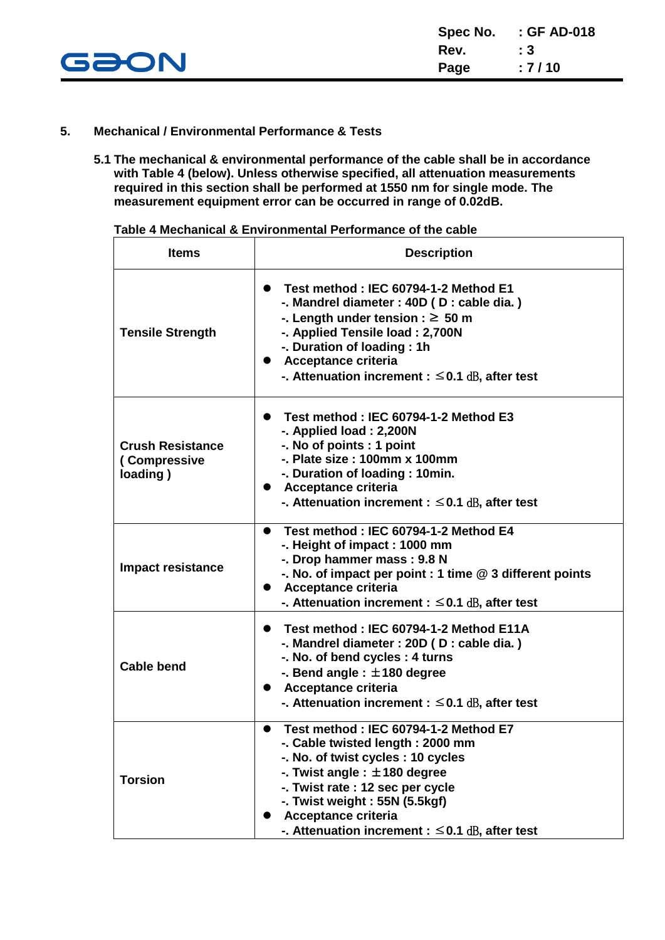

#### **5. Mechanical / Environmental Performance & Tests**

**5.1 The mechanical & environmental performance of the cable shall be in accordance with Table 4 (below). Unless otherwise specified, all attenuation measurements required in this section shall be performed at 1550 nm for single mode. The measurement equipment error can be occurred in range of 0.02dB.**

| Table 4 Mechanical & Environmental Performance of the cable |
|-------------------------------------------------------------|
|                                                             |

| <b>Items</b>                                        | <b>Description</b>                                                                                                                                                                                                                                                                                                |
|-----------------------------------------------------|-------------------------------------------------------------------------------------------------------------------------------------------------------------------------------------------------------------------------------------------------------------------------------------------------------------------|
| <b>Tensile Strength</b>                             | Test method: IEC 60794-1-2 Method E1<br>$\bullet$<br>-. Mandrel diameter : 40D (D : cable dia.)<br>-. Length under tension : $\geq 50$ m<br>-. Applied Tensile load: 2,700N<br>-. Duration of loading: 1h<br><b>Acceptance criteria</b><br>-. Attenuation increment : $\leq$ 0.1 dB, after test                   |
| <b>Crush Resistance</b><br>(Compressive<br>loading) | Test method: IEC 60794-1-2 Method E3<br>-. Applied load: 2,200N<br>-. No of points : 1 point<br>-. Plate size : 100mm x 100mm<br>-. Duration of loading: 10min.<br><b>Acceptance criteria</b><br>$\bullet$<br>-. Attenuation increment : $\leq$ 0.1 dB, after test                                                |
| <b>Impact resistance</b>                            | Test method: IEC 60794-1-2 Method E4<br>$\bullet$<br>-. Height of impact: 1000 mm<br>-. Drop hammer mass: 9.8 N<br>-. No. of impact per point : 1 time @ 3 different points<br><b>Acceptance criteria</b><br>$\bullet$<br>-. Attenuation increment : $\leq$ 0.1 dB, after test                                    |
| <b>Cable bend</b>                                   | Test method: IEC 60794-1-2 Method E11A<br>-. Mandrel diameter : 20D (D : cable dia.)<br>-. No. of bend cycles: 4 turns<br>-. Bend angle : $\pm$ 180 degree<br><b>Acceptance criteria</b><br>$\bullet$<br>-. Attenuation increment : $\leq$ 0.1 dB, after test                                                     |
| <b>Torsion</b>                                      | Test method: IEC 60794-1-2 Method E7<br>-. Cable twisted length: 2000 mm<br>-. No. of twist cycles: 10 cycles<br>-. Twist angle : $\pm$ 180 degree<br>-. Twist rate : 12 sec per cycle<br>-. Twist weight : 55N (5.5kgf)<br><b>Acceptance criteria</b><br>-. Attenuation increment : $\leq$ 0.1 $dB$ , after test |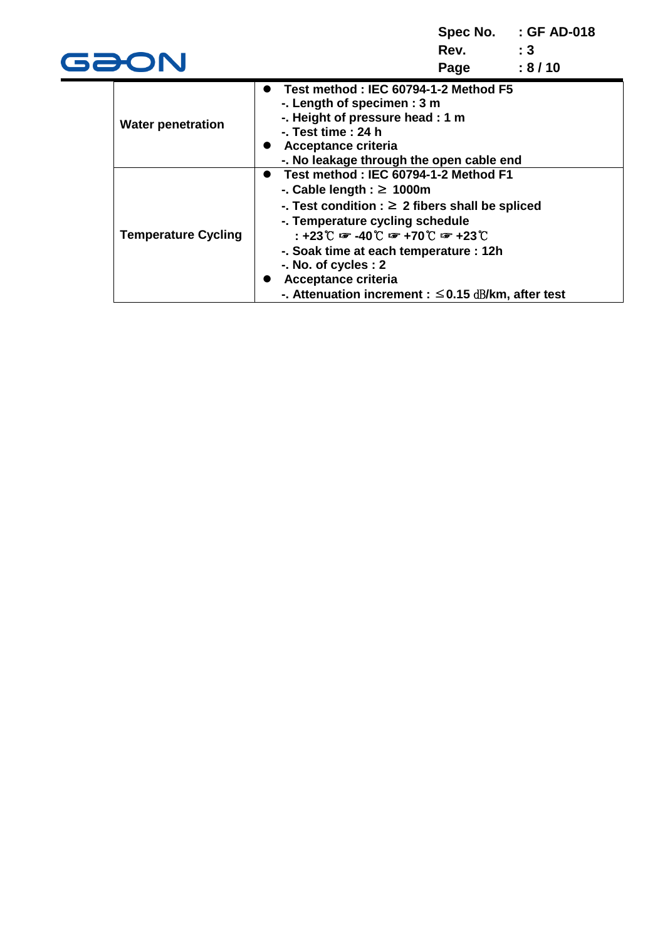| GƏON                       | Spec No. : GF AD-018<br>:3<br>Rev.<br>:8/10<br>Page                                                                                                                                                                                                                                                                                                                                                                  |
|----------------------------|----------------------------------------------------------------------------------------------------------------------------------------------------------------------------------------------------------------------------------------------------------------------------------------------------------------------------------------------------------------------------------------------------------------------|
| <b>Water penetration</b>   | Test method: IEC 60794-1-2 Method F5<br>-. Length of specimen : 3 m<br>-. Height of pressure head : 1 m<br>$-$ . Test time : 24 h<br>Acceptance criteria<br>-. No leakage through the open cable end                                                                                                                                                                                                                 |
| <b>Temperature Cycling</b> | Test method: IEC 60794-1-2 Method F1<br>-. Cable length : $\geq 1000$ m<br>-. Test condition : $\geq 2$ fibers shall be spliced<br>-. Temperature cycling schedule<br>$: +23$ $\degree$ $\degree$ -40 $\degree$ $\degree$ +70 $\degree$ $\degree$ +23 $\degree$<br>-. Soak time at each temperature : 12h<br>-. No. of cycles : 2<br>Acceptance criteria<br>-. Attenuation increment : $\leq$ 0.15 dB/km, after test |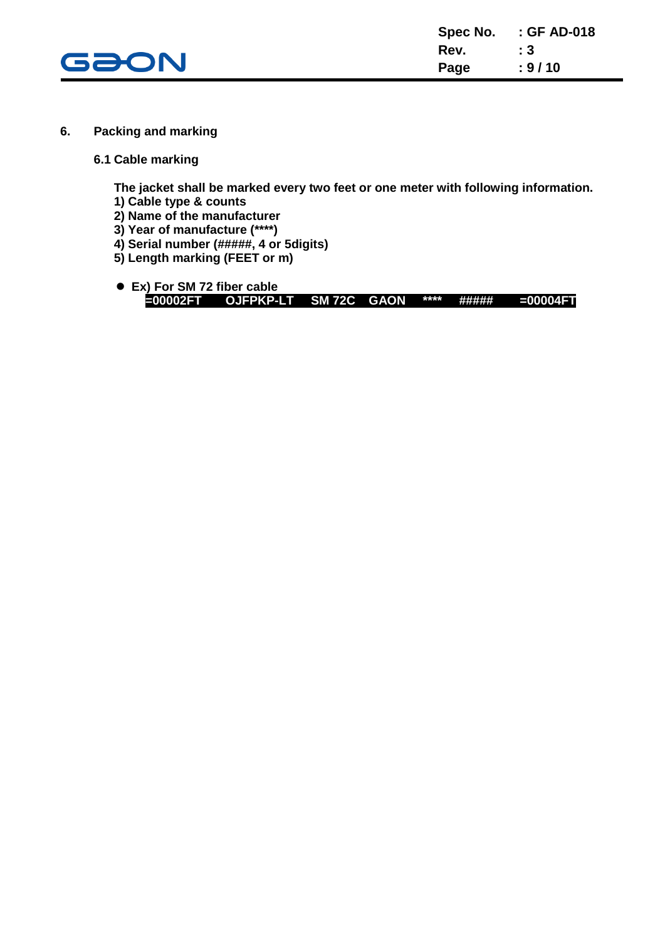

- **6. Packing and marking**
	- **6.1 Cable marking**

**The jacket shall be marked every two feet or one meter with following information.**

- **1) Cable type & counts**
- **2) Name of the manufacturer**
- **3) Year of manufacture (\*\*\*\*)**
- **4) Serial number (#####, 4 or 5digits)**
- **5) Length marking (FEET or m)**
- **Ex) For SM 72 fiber cable =00002FT OJFPKP-LT SM 72C GAON \*\*\*\* ##### =00004FT**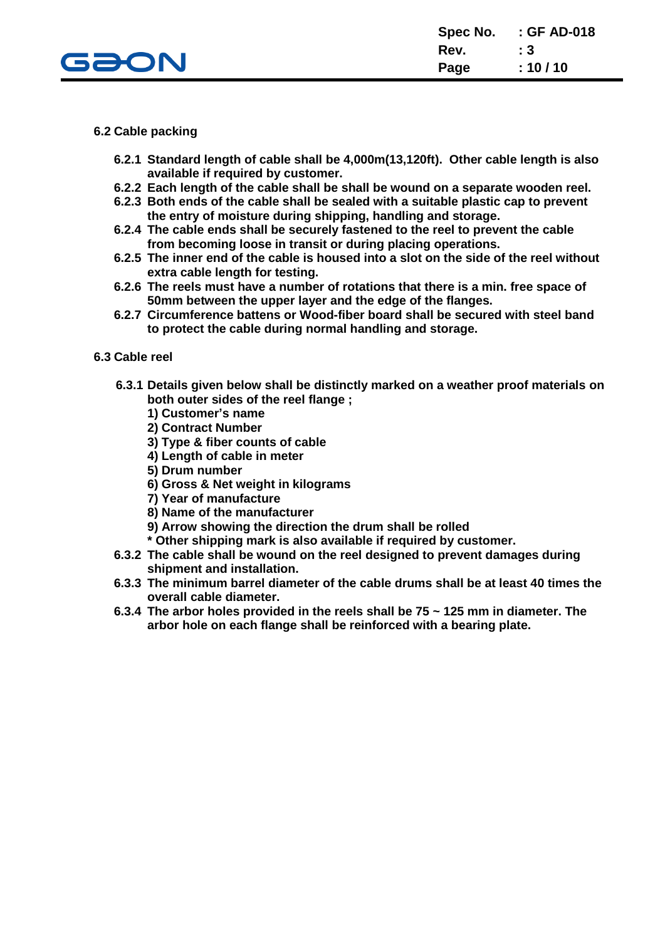

#### **6.2 Cable packing**

- **6.2.1 Standard length of cable shall be 4,000m(13,120ft). Other cable length is also available if required by customer.**
- **6.2.2 Each length of the cable shall be shall be wound on a separate wooden reel.**
- **6.2.3 Both ends of the cable shall be sealed with a suitable plastic cap to prevent the entry of moisture during shipping, handling and storage.**
- **6.2.4 The cable ends shall be securely fastened to the reel to prevent the cable from becoming loose in transit or during placing operations.**
- **6.2.5 The inner end of the cable is housed into a slot on the side of the reel without extra cable length for testing.**
- **6.2.6 The reels must have a number of rotations that there is a min. free space of 50mm between the upper layer and the edge of the flanges.**
- **6.2.7 Circumference battens or Wood-fiber board shall be secured with steel band to protect the cable during normal handling and storage.**

#### **6.3 Cable reel**

- **6.3.1 Details given below shall be distinctly marked on a weather proof materials on both outer sides of the reel flange ;**
	- **1) Customer's name**
	- **2) Contract Number**
	- **3) Type & fiber counts of cable**
	- **4) Length of cable in meter**
	- **5) Drum number**
	- **6) Gross & Net weight in kilograms**
	- **7) Year of manufacture**
	- **8) Name of the manufacturer**
	- **9) Arrow showing the direction the drum shall be rolled**
	- **\* Other shipping mark is also available if required by customer.**
- **6.3.2 The cable shall be wound on the reel designed to prevent damages during shipment and installation.**
- **6.3.3 The minimum barrel diameter of the cable drums shall be at least 40 times the overall cable diameter.**
- **6.3.4 The arbor holes provided in the reels shall be 75 ~ 125 mm in diameter. The arbor hole on each flange shall be reinforced with a bearing plate.**